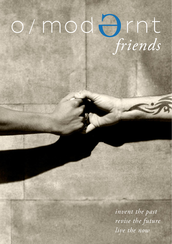# *friends*

*live the now revise the future invent the past*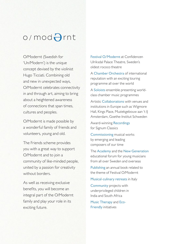# $o$ /mod $O$ rnt

O/Modernt (Swedish for 'Un/Modern') is the unique concept devised by the violinist Hugo Ticciati. Combining old and new in unexpected ways, O/Modernt celebrates connectivity in and through art, aiming to bring about a heightened awareness of connections that span times, cultures and peoples.

O/Modernt is made possible by a wonderful family of friends and volunteers, young and old.

The Friends scheme provides you with a great way to support O/Modernt and to join a community of like-minded people, united by a passion for creativity without borders

As well as receiving exclusive benefits, you will become an integral part of the O/Modernt family and play your role in its exciting future.

Festival O/Modernt at Confidencen Ulriksdal Palace Theatre, Sweden's oldest rococo theatre

A Chamber Orchestra of international reputation with an exciting touring programme all over the world

A Soloists ensemble presenting worldclass chamber music programmes

Artistic Collaborations with venues and institutions in Europe such as Wigmore Hall, Kings Place, Muziekgebouw aan 't IJ Amsterdam, Goethe-Institut Schweden

Award-winning Recordings for Signum Classics

Commissioning musical works by emerging and leading composers of our time

The Academy and the New Generation educational forum for young musicians from all over Sweden and overseas

Publishing an annual book related to the theme of Festival O/Modernt

Musical-culinary retreats in Italy

Community projects with underprivileged children in India and South Africa

Music Therapy and Eco-Friendly initiatives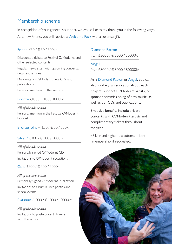# Membership scheme

In recognition of your generous support, we would like to say thank you in the following ways. As a new Friend, you will receive a Welcome Pack with a surprise gift.

### Friend £50 / € 50 / 500kr

Discounted tickets to Festival O/Modernt and other selected concerts

Regular newsletter with upcoming concerts, news and articles

Discounts on O/Modernt new CDs and publications

Personal mention on the website

### Bronze £100 / € 100 / 1000kr

*All of the above and*  Personal mention in the Festival O/Modernt booklet

Bronze Joint + £50 / € 50 / 500kr

### Silver \* £300 / € 300 / 3000kr

*All of the above and*  Personally signed O/Modernt CD Invitations to O/Modernt receptions

### Gold £500 / € 500 / 5000kr

### *All of the above and*

Personally signed O/Modernt Publication Invitations to album launch parties and special events

### Platinum £1000 / € 1000 / 10000kr

### *All of the above and*  Invitations to post-concert dinners with the artists

Diamond Patron *from* £3000 / € 3000 / 30000kr

Angel *from* £8000 / € 8000 / 80000kr

As a Diamond Patron or Angel, you can also fund e.g. an educational/outreach project, support O/Modernt artists, or sponsor commissioning of new music, as well as our CDs and publications.

Exclusive benefits include private concerts with O/Modernt artists and complimentary tickets throughout the year.

\* Silver and higher are automatic joint membership, if requested.